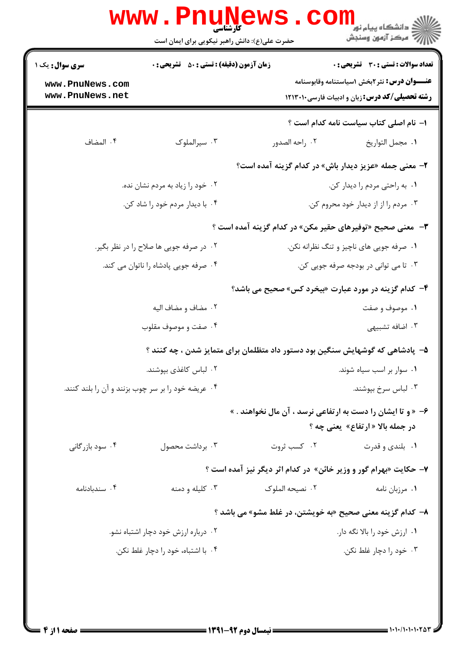|                                                              | <b>www.Pnur</b><br><b>کارشناسی</b><br>حضرت علی(ع): دانش راهبر نیکویی برای ایمان است |                                          | ڪ دانشڪاه پيام نور <mark>−</mark><br>/7 مرڪز آزمون وسنڊش                                                                                               |
|--------------------------------------------------------------|-------------------------------------------------------------------------------------|------------------------------------------|--------------------------------------------------------------------------------------------------------------------------------------------------------|
| <b>سری سوال :</b> یک ۱<br>www.PnuNews.com<br>www.PnuNews.net | <b>زمان آزمون (دقیقه) : تستی : 50 ٪ تشریحی : 0</b>                                  |                                          | <b>تعداد سوالات : تستی : 30 ٪ تشریحی : 0</b><br><b>عنـــوان درس:</b> نثر ۲بخش ۱سیاستنامه وقابوسنامه<br>رشته تحصیلی/کد درس: زبان و ادبیات فارسی ١٢١٣٠١٠ |
|                                                              |                                                                                     |                                          | 1- نام اصلی کتاب سیاست نامه کدام است ؟                                                                                                                 |
| ۰۴ المضاف                                                    | ۰۳ سیرالملوک                                                                        | ۰۲ راحه الصدور                           | ٠١. مجمل التواريخ                                                                                                                                      |
|                                                              |                                                                                     |                                          | ۲- معنی جمله «عزیز دیدار باش» در کدام گزینه آمده است؟                                                                                                  |
|                                                              | ۰۲ خود را زیاد به مردم نشان نده.                                                    | ٠١ به راحتي مردم را ديدار كن.            |                                                                                                                                                        |
|                                                              | ۰۴ با دیدار مردم خود را شاد کن.                                                     | ۰۳ مردم را از از دیدار خود محروم کن.     |                                                                                                                                                        |
|                                                              |                                                                                     |                                          | ۳- معنی صحیح «توفیرهای حقیر مکن» در کدام گزینه آمده است ؟                                                                                              |
|                                                              | ۰۲ در صرفه جویی ها صلاح را در نظر بگیر.                                             | ۰۱ صرفه جویی های ناچیز و تنگ نظرانه نکن. |                                                                                                                                                        |
|                                                              | ۰۴ صرفه جویی پادشاه را ناتوان می کند.                                               | ۰۳ تا می توانی در بودجه صرفه جویی کن.    |                                                                                                                                                        |
|                                                              |                                                                                     |                                          | ۴- کدام گزینه در مورد عبارت «بیخرد کس» صحیح می باشد؟                                                                                                   |
|                                                              | ۰۲ مضاف و مضاف اليه                                                                 | ۰۱ موصوف و صفت                           |                                                                                                                                                        |
|                                                              | ۰۴ صفت و موصوف مقلوب                                                                |                                          | ۰۳ اضافه تشبیهی                                                                                                                                        |
|                                                              | ۵– پادشاهی که گوشهایش سنگین بود دستور داد متظلمان برای متمایز شدن ، چه کنند ؟       |                                          |                                                                                                                                                        |
|                                                              | ۰۲ لباس كاغذى بيوشند.                                                               | ۰۱ سوار بر اسب سیاه شوند.                |                                                                                                                                                        |
| ۰۴ عریضه خود را بر سر چوب بزنند و آن را بلند کنند.           |                                                                                     | ۰۳ لباس سرخ بپوشند.                      |                                                                                                                                                        |
|                                                              |                                                                                     |                                          | ۶- « و تا ایشان را دست به ارتفاعی نرسد ، آن مال نخواهند . »<br>در جمله بالا « ارتفاع» یعنی چه ؟                                                        |
| ۰۴ سود بازرگانی                                              | ۰۳ برداشت محصول                                                                     | ۰۲ کسب ثروت                              | ۰۱ بلندی و قدرت                                                                                                                                        |
|                                                              |                                                                                     |                                          | ۷- حکایت «بهرام گور و وزیر خائن» در کدام اثر دیگر نیز آمده است ؟                                                                                       |
| ۰۴ سندبادنامه                                                | ۰۳ کلیله و دمنه                                                                     | ۰۲ نصیحه الملوک                          | ۰۱ مرزبان نامه                                                                                                                                         |
|                                                              |                                                                                     |                                          | ۸– کدام گزینه معنی صحیح «به خویشتن، در غلط مشو» می باشد ؟                                                                                              |
| ۰۲ درباره ارزش خود دچار اشتباه نشو.                          |                                                                                     |                                          | ۰۱ ارزش خود را بالا نگه دار.                                                                                                                           |
|                                                              | ۰۴ با اشتباه، خود را دچار غلط نکن.                                                  |                                          | ۰۳ خود را دچار غلط نکن.                                                                                                                                |
|                                                              |                                                                                     |                                          |                                                                                                                                                        |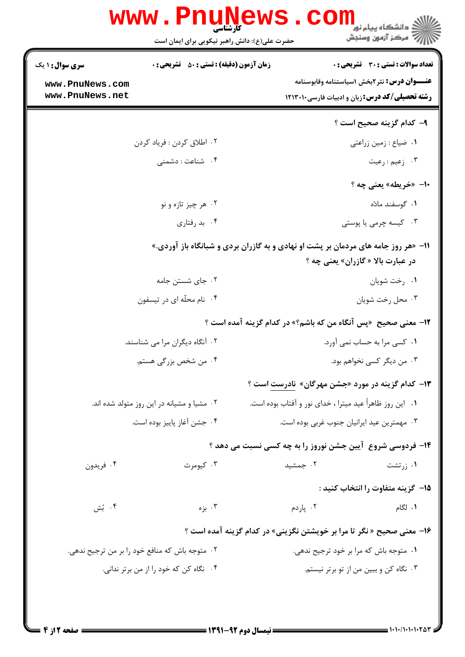|                                    | حضرت علی(ع): دانش راهبر نیکویی برای ایمان است                                             |                                                                                                               |                                                                |
|------------------------------------|-------------------------------------------------------------------------------------------|---------------------------------------------------------------------------------------------------------------|----------------------------------------------------------------|
| <b>سری سوال : ۱ یک</b>             | <b>زمان آزمون (دقیقه) : تستی : 50 ٪ تشریحی : 0</b>                                        |                                                                                                               | <b>تعداد سوالات : تستی : 30 ٪ تشریحی : 0</b>                   |
| www.PnuNews.com<br>www.PnuNews.net |                                                                                           | <b>عنـــوان درس:</b> نثر ۲بخش ۱سیاستنامه وقابوسنامه<br><b>رشته تحصیلی/کد درس:</b> زبان و ادبیات فارسی ۱۲۱۳۰۱۰ |                                                                |
|                                    |                                                                                           |                                                                                                               |                                                                |
|                                    |                                                                                           |                                                                                                               | ۹– کدام گزینه صحیح است ؟                                       |
|                                    | ۰۲ اطلاق کردن : فرياد کردن                                                                |                                                                                                               | ٠١ ضياع : زمين زراعتي                                          |
|                                    | ۰۴ شناعت : دشمنی                                                                          | ۰۳ زعیم : رعیت                                                                                                |                                                                |
|                                    |                                                                                           |                                                                                                               | ۰۱- «خریطه» یعنی چه ؟                                          |
|                                    | ۰۲ هر چيز تازه و نو                                                                       |                                                                                                               | ۰۱ گوسفند مادّه                                                |
|                                    | ۰۴ بد رفتاري                                                                              |                                                                                                               | ۰۳ کیسه چرمی یا پوستی                                          |
|                                    | <b>۱۱- «هر روز جامه های مردمان بر پشت او نهادی و به گازران بردی و شبانگاه باز آوردی.»</b> |                                                                                                               | در عبارت بالا « گازران» یعنی چه ؟                              |
|                                    | ۰۲ جای شستن جامه                                                                          |                                                                                                               | ۰۱ رخت شویان                                                   |
|                                    | ۰۴ نام محلّه ای در تیسفون                                                                 |                                                                                                               | ۰۳ محل رخت شويان                                               |
|                                    |                                                                                           |                                                                                                               | 12- معنی صحیح  «پس آنگاه من که باشم؟» در کدام گزینه آمده است ؟ |
|                                    | ۰۲ آنگاه دیگران مرا می شناسند.                                                            | ۰۱ کسی مرا به حساب نمی آورد.                                                                                  |                                                                |
|                                    | ۰۴ من شخص بزرگی هستم.                                                                     | ۰۳ من دیگر کسی نخواهم بود.                                                                                    |                                                                |
|                                    |                                                                                           |                                                                                                               | ۱۳- کدام گزینه در مورد «جشن مهرگان» <u>نادرست</u> است ؟        |
|                                    | ۰۲ مشیا و مشیانه در این روز متولد شده اند.                                                | ۰۱ این روز ظاهراً عید میترا ، خدای نور و آفتاب بوده است.                                                      |                                                                |
| ۰۴ جشن آغاز پاييز بوده است.        |                                                                                           | ۰۳ مهمترین عید ایرانیان جنوب غربی بوده است.                                                                   |                                                                |
|                                    |                                                                                           |                                                                                                               | ۱۴- فردوسی شروع آیین جشن نوروز را به چه کسی نسبت می دهد ؟      |
| ۰۴ فريدون                          | ۰۳ کیومرث                                                                                 | ۰۲ جمشید                                                                                                      | ۰۱ زرتشت                                                       |
|                                    |                                                                                           |                                                                                                               |                                                                |
|                                    |                                                                                           |                                                                                                               | 1۵– گزینه متفاوت را انتخاب کنید :                              |
| ۰۴ بُش                             | ۰۳ بزه                                                                                    | ۰۲ پاردم                                                                                                      | ۰۱ لگام                                                        |
|                                    | ۱۶- معنی صحیح « نگر تا مرا بر خویشتن نگزینی» در کدام گزینه آمده است ؟                     |                                                                                                               |                                                                |
|                                    | ۰۲ متوجه باش که منافع خود را بر من ترجیح ندهی.                                            | ۰۱ متوجه باش که مرا بر خود ترجیح ندهی.                                                                        |                                                                |
|                                    | ۰۴ نگاه کن که خود را از من برتر ندانی.                                                    |                                                                                                               | ۰۳ نگاه کن و ببین من از تو برتر نیستم.                         |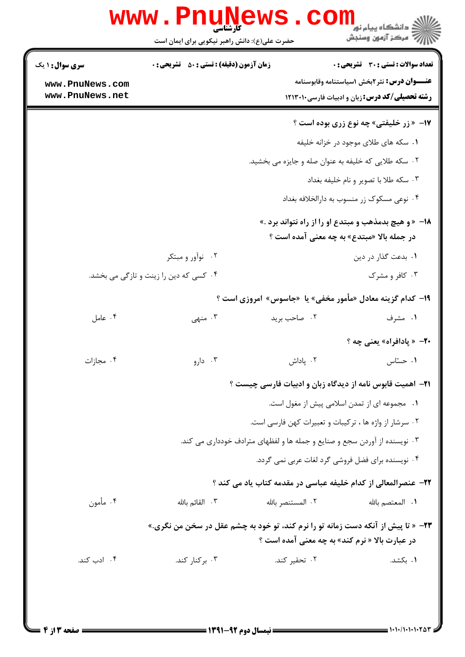|                                    | حضرت علی(ع): دانش راهبر نیکویی برای ایمان است                             | د دانشگاه پیام نور<br>7. دانشگاه پیام نور<br>رآ مرڪز آزمون وسنڊش                                              |  |  |
|------------------------------------|---------------------------------------------------------------------------|---------------------------------------------------------------------------------------------------------------|--|--|
| <b>سری سوال : ۱ یک</b>             | <b>زمان آزمون (دقیقه) : تستی : 50 ٪ تشریحی : 0</b>                        | <b>تعداد سوالات : تستی : 30 ٪ تشریحی : 0</b>                                                                  |  |  |
| www.PnuNews.com<br>www.PnuNews.net |                                                                           | <b>عنـــوان درس:</b> نثر ۲بخش ۱سیاستنامه وقابوسنامه<br><b>رشته تحصیلی/کد درس:</b> زبان و ادبیات فارسی ۱۲۱۳۰۱۰ |  |  |
|                                    |                                                                           | <b>۱۷- «زر خلیفتی» چه نوع زری بوده است ؟</b>                                                                  |  |  |
|                                    |                                                                           | ۰۱ سکه های طلای موجود در خزانه خلیفه                                                                          |  |  |
|                                    |                                                                           | ۰۲ سکه طلایی که خلیفه به عنوان صله و جایزه می بخشید.                                                          |  |  |
|                                    |                                                                           | ۰۳ سکه طلا با تصویر و نام خلیفه بغداد                                                                         |  |  |
|                                    |                                                                           | ۰۴ نوعی مسکوک زر منسوب به دارالخلافه بغداد                                                                    |  |  |
|                                    |                                                                           | <b>۱۸</b> - «و هیچ بدمذهب و مبتدع او را از راه نتواند برد .»<br>در جمله بالا «مبتدع» به چه معنی آمده است ؟    |  |  |
|                                    | ۰۲ نوآور و مبتکر                                                          | ٠. بدعت گذار در دين                                                                                           |  |  |
|                                    | ۰۴ کسی که دین را زینت و تازگی می بخشد.                                    | ۰۳ کافر و مشرک                                                                                                |  |  |
|                                    |                                                                           | ۱۹- کدام گزینه معادل «مأمور مخفی» یا  «جاسوس» امروزی است ؟                                                    |  |  |
| ۰۴ عامل                            | ۰۳ منهی                                                                   | ۰۲ صاحب بريد<br>۱. مشرف                                                                                       |  |  |
|                                    |                                                                           | <b>۲۰</b> – « پادافراه» یعنی چه ؟                                                                             |  |  |
| ۰۴ مجازات                          | ۰۳ دارو                                                                   | ۰۲ پاداش<br>۰۱ حستاس                                                                                          |  |  |
|                                    | <b>٢١</b> - اهميت قابوس نامه از ديدگاه زبان و ادبيات فارسي چيست ؟         |                                                                                                               |  |  |
|                                    |                                                                           | ٠١ مجموعه اي از تمدن اسلامي پيش از مغول است.                                                                  |  |  |
|                                    |                                                                           | ۰۲ سرشار از واژه ها ، ترکیبات و تعبیرات کهن فارسی است.                                                        |  |  |
|                                    | ۰۳ نویسنده از آوردن سجع و صنایع و جمله ها و لفظهای مترادف خودداری می کند. |                                                                                                               |  |  |
|                                    |                                                                           | ۰۴ نویسنده برای فضل فروشی گرد لغات عربی نمی گردد.                                                             |  |  |
|                                    |                                                                           | ٢٢- عنصرالمعالي از كدام خليفه عباسي در مقدمه كتاب ياد مي كند ؟                                                |  |  |
| ۰۴ مأمون                           | ۰۳ القائم بالله                                                           | ٢. المستنصر بالله<br><b>١.</b> المعتصم بالله                                                                  |  |  |
|                                    |                                                                           | <b>۲۳</b> - « تا پیش از آنکه دست زمانه تو را نرم کند، تو خود به چشم عقل در سخن من نگری.»                      |  |  |
|                                    |                                                                           | در عبارت بالا « نرم کند» به چه معنی آمده است ؟                                                                |  |  |
| ۰۴ ادب کند.                        | ۰۳ برکنار کند.                                                            | ۰۲ تحقیر کند.<br>۰۱ بکشد.                                                                                     |  |  |